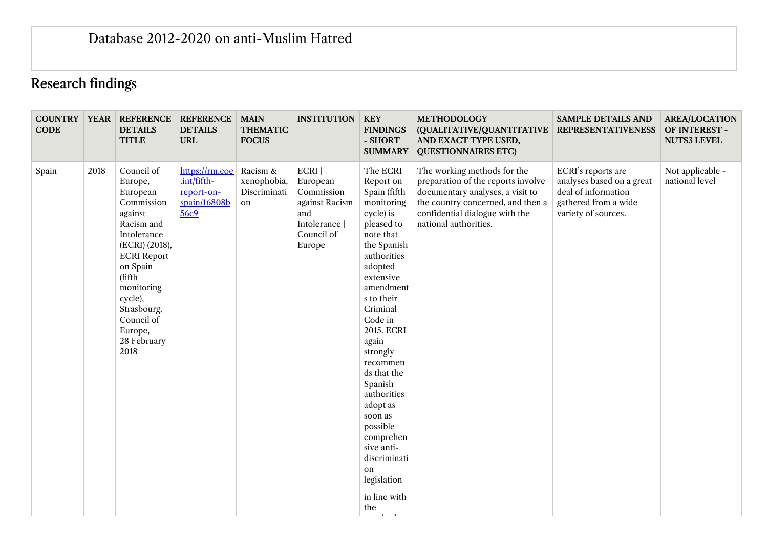## Research findings

| <b>CODE</b> |      | <b>COUNTRY   YEAR   REFERENCE</b><br><b>DETAILS</b><br><b>TITLE</b>                                                                                                                                                                           | <b>REFERENCE</b><br><b>DETAILS</b><br><b>URL</b>                      | <b>MAIN</b><br><b>THEMATIC</b><br><b>FOCUS</b>        | <b>INSTITUTION</b>                                                                               | <b>KEY</b><br><b>FINDINGS</b><br>- SHORT<br><b>SUMMARY</b>                                                                                                                                                                                                                                                                                                                                                                                         | <b>METHODOLOGY</b><br>(QUALITATIVE/QUANTITATIVE<br>AND EXACT TYPE USED,<br><b>QUESTIONNAIRES ETC)</b>                                                                                                 | <b>SAMPLE DETAILS AND</b><br><b>REPRESENTATIVENESS</b>                                                                | <b>AREA/LOCATION</b><br>OF INTEREST -<br><b>NUTS3 LEVEL</b> |
|-------------|------|-----------------------------------------------------------------------------------------------------------------------------------------------------------------------------------------------------------------------------------------------|-----------------------------------------------------------------------|-------------------------------------------------------|--------------------------------------------------------------------------------------------------|----------------------------------------------------------------------------------------------------------------------------------------------------------------------------------------------------------------------------------------------------------------------------------------------------------------------------------------------------------------------------------------------------------------------------------------------------|-------------------------------------------------------------------------------------------------------------------------------------------------------------------------------------------------------|-----------------------------------------------------------------------------------------------------------------------|-------------------------------------------------------------|
| Spain       | 2018 | Council of<br>Europe,<br>European<br>Commission<br>against<br>Racism and<br>Intolerance<br>(ECRI) (2018),<br><b>ECRI</b> Report<br>on Spain<br>(fifth<br>monitoring<br>cycle),<br>Strasbourg,<br>Council of<br>Europe,<br>28 February<br>2018 | https://rm.coe<br>$int/$ fifth-<br>report-on-<br>spain/16808b<br>56c9 | Racism &<br>xenophobia,<br>Discriminati<br>${\rm on}$ | ECRI<br>European<br>Commission<br>against Racism<br>and<br>Intolerance  <br>Council of<br>Europe | The ECRI<br>Report on<br>Spain (fifth<br>monitoring<br>cycle) is<br>pleased to<br>note that<br>the Spanish<br>authorities<br>adopted<br>extensive<br>amendment<br>s to their<br>Criminal<br>Code in<br>2015. ECRI<br>again<br>strongly<br>recommen<br>ds that the<br>Spanish<br>authorities<br>adopt as<br>soon as<br>possible<br>comprehen<br>sive anti-<br>discriminati<br>on<br>legislation<br>in line with<br>the<br>$\mathbf{u} = \mathbf{u}$ | The working methods for the<br>preparation of the reports involve<br>documentary analyses, a visit to<br>the country concerned, and then a<br>confidential dialogue with the<br>national authorities. | ECRI's reports are<br>analyses based on a great<br>deal of information<br>gathered from a wide<br>variety of sources. | Not applicable -<br>national level                          |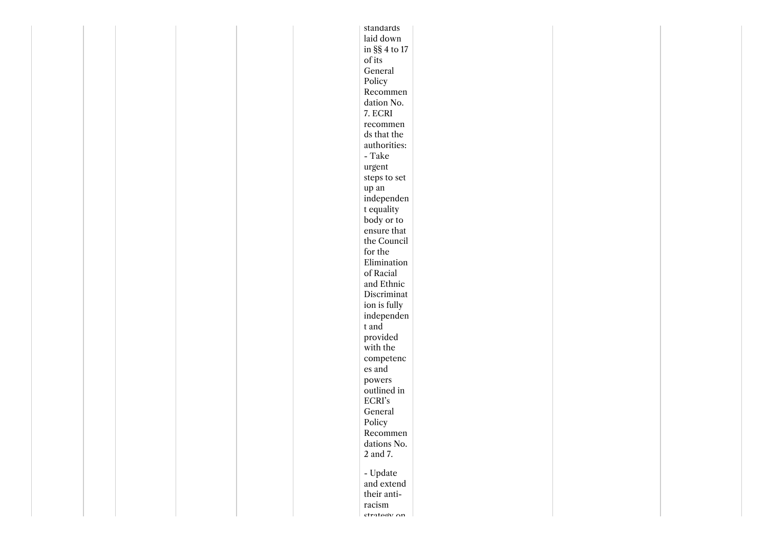| laid down<br>in $\S\S 4$ to $17$<br>of its<br>General<br>Policy<br>Recommen<br>dation No.<br>$7.$ ECRI $\,$<br>recommen<br>ds that the<br>authorities:<br>- Take $\,$<br>urgent<br>steps to set<br>$\,$ up an<br>independen<br>t equality<br>body or to<br>ensure that<br>the Council<br>for the<br>$\bf Elimination$<br>of Racial<br>and Ethnic<br>Discriminat<br>ion is fully<br>independen<br>t and<br>provided<br>with the<br>competenc<br>es and<br>powers<br>outlined in<br>$\ensuremath{\textup{ECRI}'}\xspace$ s<br>General<br>Policy<br>Recommen<br>dations No.<br>$2$ and 7. $\,$<br>- Update $\,$<br>and extend<br>their anti-<br>racism<br>etratoru on |  |  |  | standards |  |  |
|--------------------------------------------------------------------------------------------------------------------------------------------------------------------------------------------------------------------------------------------------------------------------------------------------------------------------------------------------------------------------------------------------------------------------------------------------------------------------------------------------------------------------------------------------------------------------------------------------------------------------------------------------------------------|--|--|--|-----------|--|--|
|                                                                                                                                                                                                                                                                                                                                                                                                                                                                                                                                                                                                                                                                    |  |  |  |           |  |  |
|                                                                                                                                                                                                                                                                                                                                                                                                                                                                                                                                                                                                                                                                    |  |  |  |           |  |  |
|                                                                                                                                                                                                                                                                                                                                                                                                                                                                                                                                                                                                                                                                    |  |  |  |           |  |  |
|                                                                                                                                                                                                                                                                                                                                                                                                                                                                                                                                                                                                                                                                    |  |  |  |           |  |  |
|                                                                                                                                                                                                                                                                                                                                                                                                                                                                                                                                                                                                                                                                    |  |  |  |           |  |  |
|                                                                                                                                                                                                                                                                                                                                                                                                                                                                                                                                                                                                                                                                    |  |  |  |           |  |  |
|                                                                                                                                                                                                                                                                                                                                                                                                                                                                                                                                                                                                                                                                    |  |  |  |           |  |  |
|                                                                                                                                                                                                                                                                                                                                                                                                                                                                                                                                                                                                                                                                    |  |  |  |           |  |  |
|                                                                                                                                                                                                                                                                                                                                                                                                                                                                                                                                                                                                                                                                    |  |  |  |           |  |  |
|                                                                                                                                                                                                                                                                                                                                                                                                                                                                                                                                                                                                                                                                    |  |  |  |           |  |  |
|                                                                                                                                                                                                                                                                                                                                                                                                                                                                                                                                                                                                                                                                    |  |  |  |           |  |  |
|                                                                                                                                                                                                                                                                                                                                                                                                                                                                                                                                                                                                                                                                    |  |  |  |           |  |  |
|                                                                                                                                                                                                                                                                                                                                                                                                                                                                                                                                                                                                                                                                    |  |  |  |           |  |  |
|                                                                                                                                                                                                                                                                                                                                                                                                                                                                                                                                                                                                                                                                    |  |  |  |           |  |  |
|                                                                                                                                                                                                                                                                                                                                                                                                                                                                                                                                                                                                                                                                    |  |  |  |           |  |  |
|                                                                                                                                                                                                                                                                                                                                                                                                                                                                                                                                                                                                                                                                    |  |  |  |           |  |  |
|                                                                                                                                                                                                                                                                                                                                                                                                                                                                                                                                                                                                                                                                    |  |  |  |           |  |  |
|                                                                                                                                                                                                                                                                                                                                                                                                                                                                                                                                                                                                                                                                    |  |  |  |           |  |  |
|                                                                                                                                                                                                                                                                                                                                                                                                                                                                                                                                                                                                                                                                    |  |  |  |           |  |  |
|                                                                                                                                                                                                                                                                                                                                                                                                                                                                                                                                                                                                                                                                    |  |  |  |           |  |  |
|                                                                                                                                                                                                                                                                                                                                                                                                                                                                                                                                                                                                                                                                    |  |  |  |           |  |  |
|                                                                                                                                                                                                                                                                                                                                                                                                                                                                                                                                                                                                                                                                    |  |  |  |           |  |  |
|                                                                                                                                                                                                                                                                                                                                                                                                                                                                                                                                                                                                                                                                    |  |  |  |           |  |  |
|                                                                                                                                                                                                                                                                                                                                                                                                                                                                                                                                                                                                                                                                    |  |  |  |           |  |  |
|                                                                                                                                                                                                                                                                                                                                                                                                                                                                                                                                                                                                                                                                    |  |  |  |           |  |  |
|                                                                                                                                                                                                                                                                                                                                                                                                                                                                                                                                                                                                                                                                    |  |  |  |           |  |  |
|                                                                                                                                                                                                                                                                                                                                                                                                                                                                                                                                                                                                                                                                    |  |  |  |           |  |  |
|                                                                                                                                                                                                                                                                                                                                                                                                                                                                                                                                                                                                                                                                    |  |  |  |           |  |  |
|                                                                                                                                                                                                                                                                                                                                                                                                                                                                                                                                                                                                                                                                    |  |  |  |           |  |  |
|                                                                                                                                                                                                                                                                                                                                                                                                                                                                                                                                                                                                                                                                    |  |  |  |           |  |  |
|                                                                                                                                                                                                                                                                                                                                                                                                                                                                                                                                                                                                                                                                    |  |  |  |           |  |  |
|                                                                                                                                                                                                                                                                                                                                                                                                                                                                                                                                                                                                                                                                    |  |  |  |           |  |  |
|                                                                                                                                                                                                                                                                                                                                                                                                                                                                                                                                                                                                                                                                    |  |  |  |           |  |  |
|                                                                                                                                                                                                                                                                                                                                                                                                                                                                                                                                                                                                                                                                    |  |  |  |           |  |  |
|                                                                                                                                                                                                                                                                                                                                                                                                                                                                                                                                                                                                                                                                    |  |  |  |           |  |  |
|                                                                                                                                                                                                                                                                                                                                                                                                                                                                                                                                                                                                                                                                    |  |  |  |           |  |  |
|                                                                                                                                                                                                                                                                                                                                                                                                                                                                                                                                                                                                                                                                    |  |  |  |           |  |  |
|                                                                                                                                                                                                                                                                                                                                                                                                                                                                                                                                                                                                                                                                    |  |  |  |           |  |  |
|                                                                                                                                                                                                                                                                                                                                                                                                                                                                                                                                                                                                                                                                    |  |  |  |           |  |  |
|                                                                                                                                                                                                                                                                                                                                                                                                                                                                                                                                                                                                                                                                    |  |  |  |           |  |  |
|                                                                                                                                                                                                                                                                                                                                                                                                                                                                                                                                                                                                                                                                    |  |  |  |           |  |  |
|                                                                                                                                                                                                                                                                                                                                                                                                                                                                                                                                                                                                                                                                    |  |  |  |           |  |  |
|                                                                                                                                                                                                                                                                                                                                                                                                                                                                                                                                                                                                                                                                    |  |  |  |           |  |  |
|                                                                                                                                                                                                                                                                                                                                                                                                                                                                                                                                                                                                                                                                    |  |  |  |           |  |  |
|                                                                                                                                                                                                                                                                                                                                                                                                                                                                                                                                                                                                                                                                    |  |  |  |           |  |  |